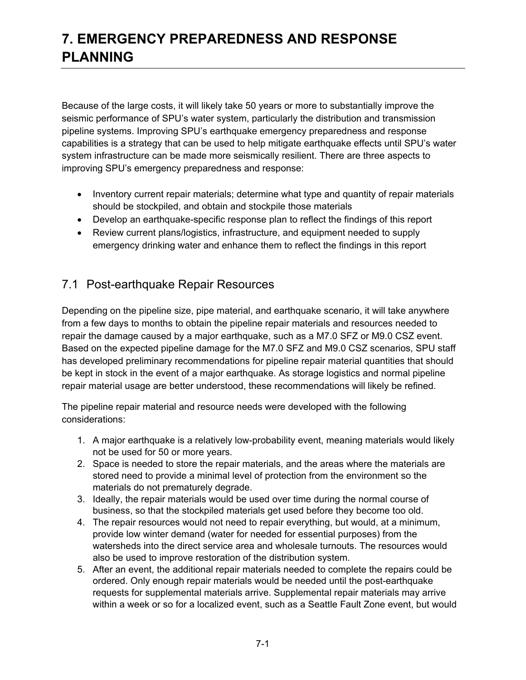# **7. EMERGENCY PREPAREDNESS AND RESPONSE PLANNING**

Because of the large costs, it will likely take 50 years or more to substantially improve the seismic performance of SPU's water system, particularly the distribution and transmission pipeline systems. Improving SPU's earthquake emergency preparedness and response capabilities is a strategy that can be used to help mitigate earthquake effects until SPU's water system infrastructure can be made more seismically resilient. There are three aspects to improving SPU's emergency preparedness and response:

- Inventory current repair materials; determine what type and quantity of repair materials should be stockpiled, and obtain and stockpile those materials
- Develop an earthquake-specific response plan to reflect the findings of this report
- Review current plans/logistics, infrastructure, and equipment needed to supply emergency drinking water and enhance them to reflect the findings in this report

### 7.1 Post-earthquake Repair Resources

Depending on the pipeline size, pipe material, and earthquake scenario, it will take anywhere from a few days to months to obtain the pipeline repair materials and resources needed to repair the damage caused by a major earthquake, such as a M7.0 SFZ or M9.0 CSZ event. Based on the expected pipeline damage for the M7.0 SFZ and M9.0 CSZ scenarios, SPU staff has developed preliminary recommendations for pipeline repair material quantities that should be kept in stock in the event of a major earthquake. As storage logistics and normal pipeline repair material usage are better understood, these recommendations will likely be refined.

The pipeline repair material and resource needs were developed with the following considerations:

- 1. A major earthquake is a relatively low-probability event, meaning materials would likely not be used for 50 or more years.
- 2. Space is needed to store the repair materials, and the areas where the materials are stored need to provide a minimal level of protection from the environment so the materials do not prematurely degrade.
- 3. Ideally, the repair materials would be used over time during the normal course of business, so that the stockpiled materials get used before they become too old.
- 4. The repair resources would not need to repair everything, but would, at a minimum, provide low winter demand (water for needed for essential purposes) from the watersheds into the direct service area and wholesale turnouts. The resources would also be used to improve restoration of the distribution system.
- 5. After an event, the additional repair materials needed to complete the repairs could be ordered. Only enough repair materials would be needed until the post-earthquake requests for supplemental materials arrive. Supplemental repair materials may arrive within a week or so for a localized event, such as a Seattle Fault Zone event, but would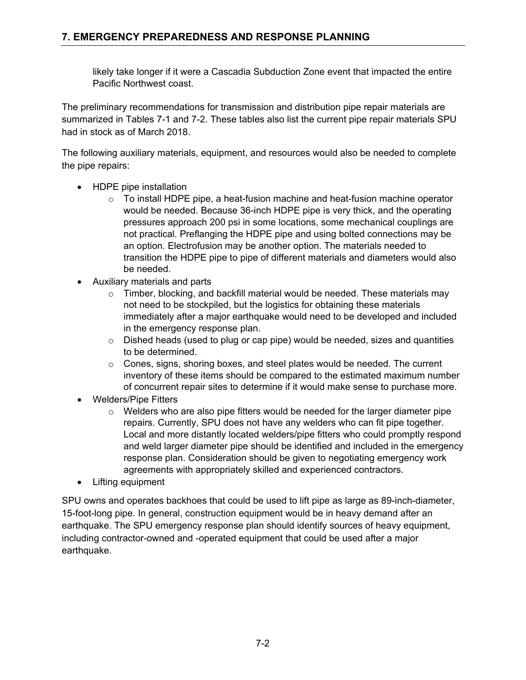likely take longer if it were a Cascadia Subduction Zone event that impacted the entire Pacific Northwest coast.

The preliminary recommendations for transmission and distribution pipe repair materials are summarized in Tables 7-1 and 7-2. These tables also list the current pipe repair materials SPU had in stock as of March 2018.

The following auxiliary materials, equipment, and resources would also be needed to complete the pipe repairs:

- HDPE pipe installation
	- $\circ$  To install HDPE pipe, a heat-fusion machine and heat-fusion machine operator would be needed. Because 36-inch HDPE pipe is very thick, and the operating pressures approach 200 psi in some locations, some mechanical couplings are not practical. Preflanging the HDPE pipe and using bolted connections may be an option. Electrofusion may be another option. The materials needed to transition the HDPE pipe to pipe of different materials and diameters would also be needed.
- Auxiliary materials and parts
	- o Timber, blocking, and backfill material would be needed. These materials may not need to be stockpiled, but the logistics for obtaining these materials immediately after a major earthquake would need to be developed and included in the emergency response plan.
	- $\circ$  Dished heads (used to plug or cap pipe) would be needed, sizes and quantities to be determined.
	- o Cones, signs, shoring boxes, and steel plates would be needed. The current inventory of these items should be compared to the estimated maximum number of concurrent repair sites to determine if it would make sense to purchase more.
- Welders/Pipe Fitters
	- $\circ$  Welders who are also pipe fitters would be needed for the larger diameter pipe repairs. Currently, SPU does not have any welders who can fit pipe together. Local and more distantly located welders/pipe fitters who could promptly respond and weld larger diameter pipe should be identified and included in the emergency response plan. Consideration should be given to negotiating emergency work agreements with appropriately skilled and experienced contractors.
- Lifting equipment

SPU owns and operates backhoes that could be used to lift pipe as large as 89-inch-diameter, 15-foot-long pipe. In general, construction equipment would be in heavy demand after an earthquake. The SPU emergency response plan should identify sources of heavy equipment, including contractor-owned and -operated equipment that could be used after a major earthquake.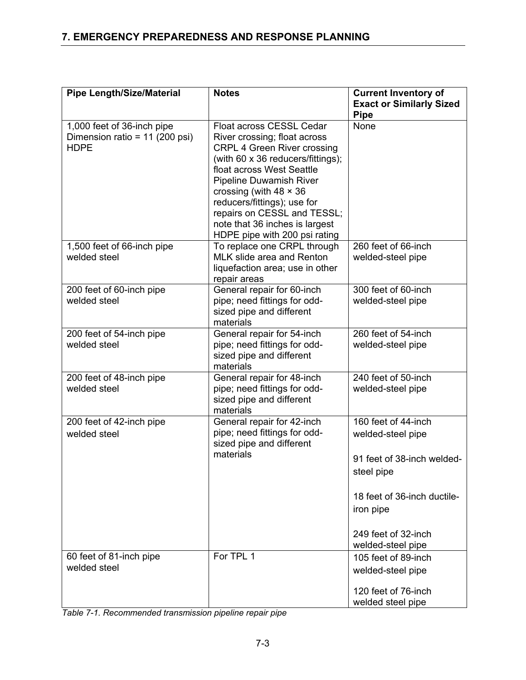| <b>Pipe Length/Size/Material</b>                                            | <b>Notes</b>                                                                                                                                                                                                                                                                                      | <b>Current Inventory of</b>                    |
|-----------------------------------------------------------------------------|---------------------------------------------------------------------------------------------------------------------------------------------------------------------------------------------------------------------------------------------------------------------------------------------------|------------------------------------------------|
|                                                                             |                                                                                                                                                                                                                                                                                                   | <b>Exact or Similarly Sized</b><br><b>Pipe</b> |
| 1,000 feet of 36-inch pipe<br>Dimension ratio = 11 (200 psi)<br><b>HDPE</b> | Float across CESSL Cedar<br>River crossing; float across<br><b>CRPL 4 Green River crossing</b><br>(with 60 x 36 reducers/fittings);<br>float across West Seattle<br><b>Pipeline Duwamish River</b><br>crossing (with $48 \times 36$<br>reducers/fittings); use for<br>repairs on CESSL and TESSL; | <b>None</b>                                    |
|                                                                             | note that 36 inches is largest<br>HDPE pipe with 200 psi rating                                                                                                                                                                                                                                   |                                                |
| 1,500 feet of 66-inch pipe<br>welded steel                                  | To replace one CRPL through<br>MLK slide area and Renton<br>liquefaction area; use in other<br>repair areas                                                                                                                                                                                       | 260 feet of 66-inch<br>welded-steel pipe       |
| 200 feet of 60-inch pipe<br>welded steel                                    | General repair for 60-inch<br>pipe; need fittings for odd-<br>sized pipe and different<br>materials                                                                                                                                                                                               | 300 feet of 60-inch<br>welded-steel pipe       |
| 200 feet of 54-inch pipe<br>welded steel                                    | General repair for 54-inch<br>pipe; need fittings for odd-<br>sized pipe and different<br>materials                                                                                                                                                                                               | 260 feet of 54-inch<br>welded-steel pipe       |
| 200 feet of 48-inch pipe<br>welded steel                                    | General repair for 48-inch<br>pipe; need fittings for odd-<br>sized pipe and different<br>materials                                                                                                                                                                                               | 240 feet of 50-inch<br>welded-steel pipe       |
| 200 feet of 42-inch pipe<br>welded steel                                    | General repair for 42-inch<br>pipe; need fittings for odd-<br>sized pipe and different<br>materials                                                                                                                                                                                               | 160 feet of 44-inch<br>welded-steel pipe       |
|                                                                             |                                                                                                                                                                                                                                                                                                   | 91 feet of 38-inch welded-<br>steel pipe       |
|                                                                             |                                                                                                                                                                                                                                                                                                   | 18 feet of 36-inch ductile-<br>iron pipe       |
|                                                                             |                                                                                                                                                                                                                                                                                                   | 249 feet of 32-inch<br>welded-steel pipe       |
| 60 feet of 81-inch pipe<br>welded steel                                     | For TPL 1                                                                                                                                                                                                                                                                                         | 105 feet of 89-inch<br>welded-steel pipe       |
|                                                                             |                                                                                                                                                                                                                                                                                                   | 120 feet of 76-inch<br>welded steel pipe       |

*Table 7-1. Recommended transmission pipeline repair pipe*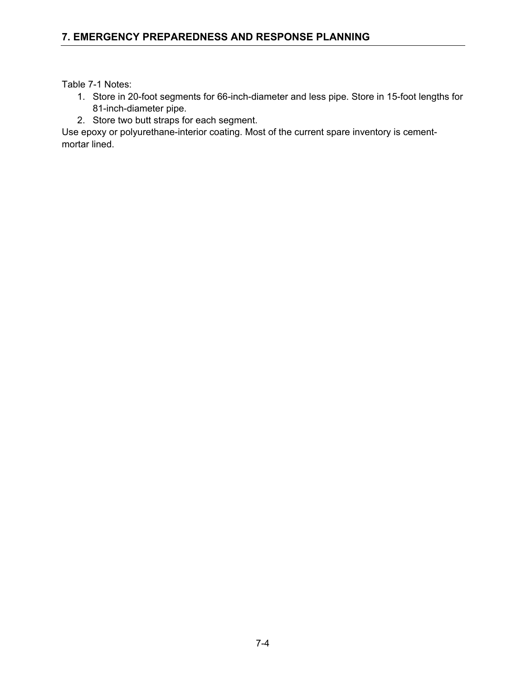Table 7-1 Notes:

- 1. Store in 20-foot segments for 66-inch-diameter and less pipe. Store in 15-foot lengths for 81-inch-diameter pipe.
- 2. Store two butt straps for each segment.

Use epoxy or polyurethane-interior coating. Most of the current spare inventory is cementmortar lined.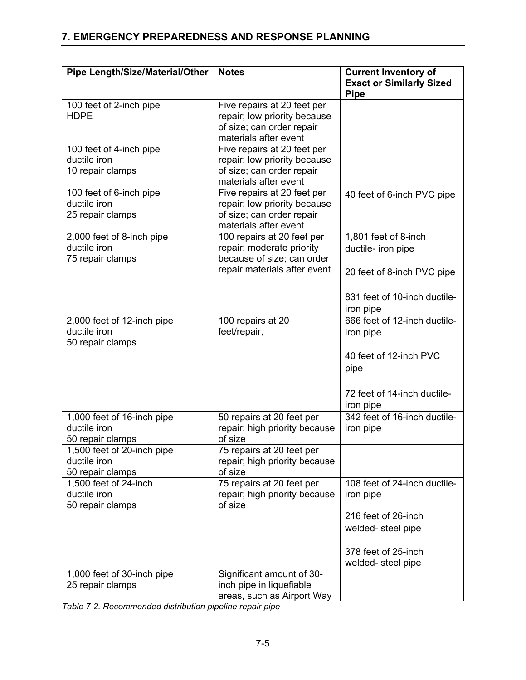| <b>Pipe Length/Size/Material/Other</b>         | <b>Notes</b>                         | <b>Current Inventory of</b><br><b>Exact or Similarly Sized</b> |
|------------------------------------------------|--------------------------------------|----------------------------------------------------------------|
|                                                |                                      | <b>Pipe</b>                                                    |
| 100 feet of 2-inch pipe                        | Five repairs at 20 feet per          |                                                                |
| <b>HDPE</b>                                    | repair; low priority because         |                                                                |
|                                                | of size; can order repair            |                                                                |
|                                                | materials after event                |                                                                |
| 100 feet of 4-inch pipe                        | Five repairs at 20 feet per          |                                                                |
| ductile iron                                   | repair; low priority because         |                                                                |
| 10 repair clamps                               | of size; can order repair            |                                                                |
|                                                | materials after event                |                                                                |
| 100 feet of 6-inch pipe                        | Five repairs at 20 feet per          | 40 feet of 6-inch PVC pipe                                     |
| ductile iron                                   | repair; low priority because         |                                                                |
| 25 repair clamps                               | of size; can order repair            |                                                                |
|                                                | materials after event                |                                                                |
| 2,000 feet of 8-inch pipe                      | 100 repairs at 20 feet per           | 1,801 feet of 8-inch                                           |
| ductile iron                                   | repair; moderate priority            | ductile- iron pipe                                             |
| 75 repair clamps                               | because of size; can order           |                                                                |
|                                                | repair materials after event         | 20 feet of 8-inch PVC pipe                                     |
|                                                |                                      |                                                                |
|                                                |                                      | 831 feet of 10-inch ductile-                                   |
|                                                |                                      | iron pipe                                                      |
| 2,000 feet of 12-inch pipe                     | 100 repairs at 20                    | 666 feet of 12-inch ductile-                                   |
| ductile iron                                   | feet/repair,                         | iron pipe                                                      |
| 50 repair clamps                               |                                      |                                                                |
|                                                |                                      | 40 feet of 12-inch PVC                                         |
|                                                |                                      | pipe                                                           |
|                                                |                                      |                                                                |
|                                                |                                      |                                                                |
|                                                |                                      | 72 feet of 14-inch ductile-                                    |
|                                                |                                      | iron pipe                                                      |
| 1,000 feet of 16-inch pipe<br>ductile iron     | 50 repairs at 20 feet per            | 342 feet of 16-inch ductile-                                   |
|                                                | repair; high priority because        | iron pipe                                                      |
| 50 repair clamps<br>1,500 feet of 20-inch pipe | of size<br>75 repairs at 20 feet per |                                                                |
| ductile iron                                   | repair; high priority because        |                                                                |
| 50 repair clamps                               | of size                              |                                                                |
| 1,500 feet of 24-inch                          | 75 repairs at 20 feet per            | 108 feet of 24-inch ductile-                                   |
| ductile iron                                   | repair; high priority because        | iron pipe                                                      |
| 50 repair clamps                               | of size                              |                                                                |
|                                                |                                      | 216 feet of 26-inch                                            |
|                                                |                                      | welded-steel pipe                                              |
|                                                |                                      |                                                                |
|                                                |                                      | 378 feet of 25-inch                                            |
|                                                |                                      | welded-steel pipe                                              |
| 1,000 feet of 30-inch pipe                     | Significant amount of 30-            |                                                                |
| 25 repair clamps                               | inch pipe in liquefiable             |                                                                |
|                                                | areas, such as Airport Way           |                                                                |

*Table 7-2. Recommended distribution pipeline repair pipe*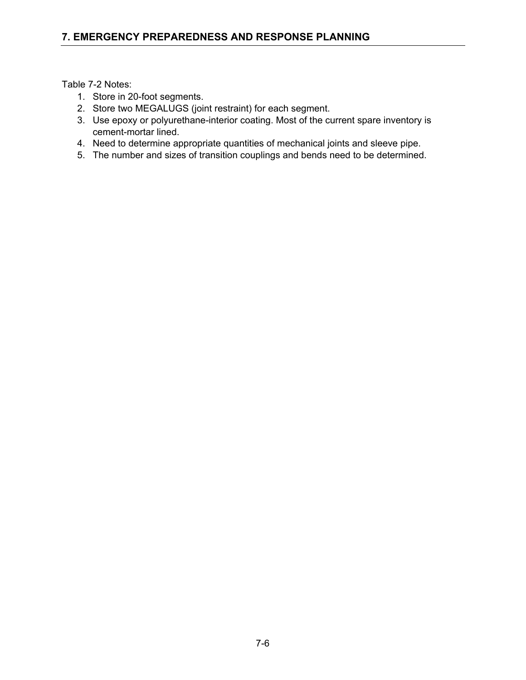Table 7-2 Notes:

- 1. Store in 20-foot segments.
- 2. Store two MEGALUGS (joint restraint) for each segment.
- 3. Use epoxy or polyurethane-interior coating. Most of the current spare inventory is cement-mortar lined.
- 4. Need to determine appropriate quantities of mechanical joints and sleeve pipe.
- 5. The number and sizes of transition couplings and bends need to be determined.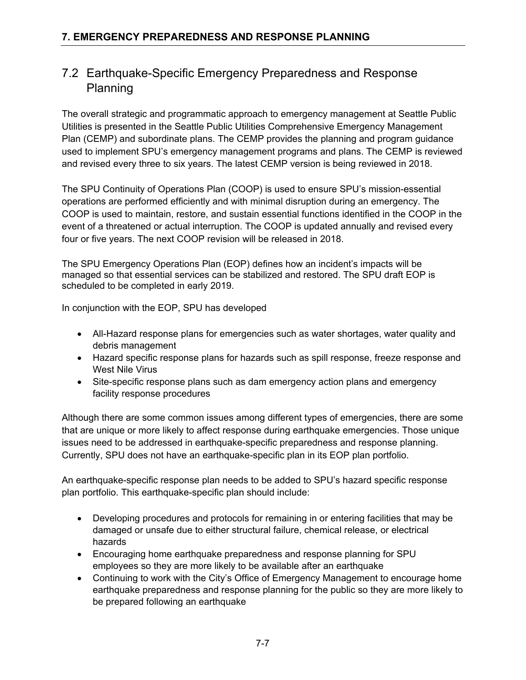### 7.2 Earthquake-Specific Emergency Preparedness and Response Planning

The overall strategic and programmatic approach to emergency management at Seattle Public Utilities is presented in the Seattle Public Utilities Comprehensive Emergency Management Plan (CEMP) and subordinate plans. The CEMP provides the planning and program guidance used to implement SPU's emergency management programs and plans. The CEMP is reviewed and revised every three to six years. The latest CEMP version is being reviewed in 2018.

The SPU Continuity of Operations Plan (COOP) is used to ensure SPU's mission-essential operations are performed efficiently and with minimal disruption during an emergency. The COOP is used to maintain, restore, and sustain essential functions identified in the COOP in the event of a threatened or actual interruption. The COOP is updated annually and revised every four or five years. The next COOP revision will be released in 2018.

The SPU Emergency Operations Plan (EOP) defines how an incident's impacts will be managed so that essential services can be stabilized and restored. The SPU draft EOP is scheduled to be completed in early 2019.

In conjunction with the EOP, SPU has developed

- All-Hazard response plans for emergencies such as water shortages, water quality and debris management
- Hazard specific response plans for hazards such as spill response, freeze response and West Nile Virus
- Site-specific response plans such as dam emergency action plans and emergency facility response procedures

Although there are some common issues among different types of emergencies, there are some that are unique or more likely to affect response during earthquake emergencies. Those unique issues need to be addressed in earthquake-specific preparedness and response planning. Currently, SPU does not have an earthquake-specific plan in its EOP plan portfolio.

An earthquake-specific response plan needs to be added to SPU's hazard specific response plan portfolio. This earthquake-specific plan should include:

- Developing procedures and protocols for remaining in or entering facilities that may be damaged or unsafe due to either structural failure, chemical release, or electrical hazards
- Encouraging home earthquake preparedness and response planning for SPU employees so they are more likely to be available after an earthquake
- Continuing to work with the City's Office of Emergency Management to encourage home earthquake preparedness and response planning for the public so they are more likely to be prepared following an earthquake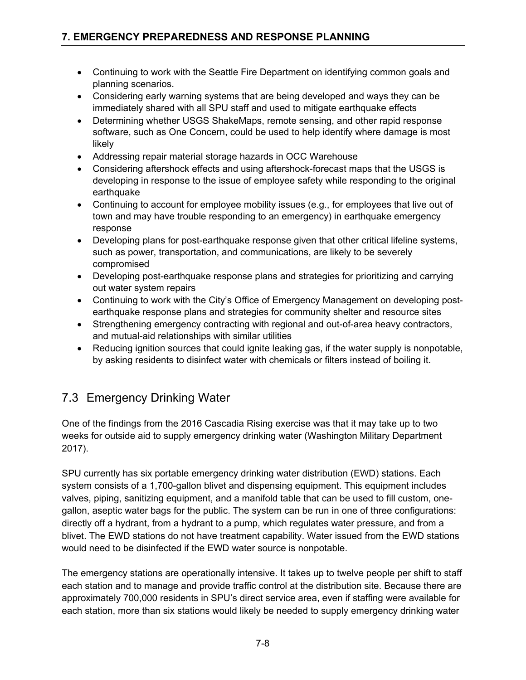- Continuing to work with the Seattle Fire Department on identifying common goals and planning scenarios.
- Considering early warning systems that are being developed and ways they can be immediately shared with all SPU staff and used to mitigate earthquake effects
- Determining whether USGS ShakeMaps, remote sensing, and other rapid response software, such as One Concern, could be used to help identify where damage is most likely
- Addressing repair material storage hazards in OCC Warehouse
- Considering aftershock effects and using aftershock-forecast maps that the USGS is developing in response to the issue of employee safety while responding to the original earthquake
- Continuing to account for employee mobility issues (e.g., for employees that live out of town and may have trouble responding to an emergency) in earthquake emergency response
- Developing plans for post-earthquake response given that other critical lifeline systems, such as power, transportation, and communications, are likely to be severely compromised
- Developing post-earthquake response plans and strategies for prioritizing and carrying out water system repairs
- Continuing to work with the City's Office of Emergency Management on developing postearthquake response plans and strategies for community shelter and resource sites
- Strengthening emergency contracting with regional and out-of-area heavy contractors, and mutual-aid relationships with similar utilities
- Reducing ignition sources that could ignite leaking gas, if the water supply is nonpotable, by asking residents to disinfect water with chemicals or filters instead of boiling it.

## 7.3 Emergency Drinking Water

One of the findings from the 2016 Cascadia Rising exercise was that it may take up to two weeks for outside aid to supply emergency drinking water (Washington Military Department 2017).

SPU currently has six portable emergency drinking water distribution (EWD) stations. Each system consists of a 1,700-gallon blivet and dispensing equipment. This equipment includes valves, piping, sanitizing equipment, and a manifold table that can be used to fill custom, onegallon, aseptic water bags for the public. The system can be run in one of three configurations: directly off a hydrant, from a hydrant to a pump, which regulates water pressure, and from a blivet. The EWD stations do not have treatment capability. Water issued from the EWD stations would need to be disinfected if the EWD water source is nonpotable.

The emergency stations are operationally intensive. It takes up to twelve people per shift to staff each station and to manage and provide traffic control at the distribution site. Because there are approximately 700,000 residents in SPU's direct service area, even if staffing were available for each station, more than six stations would likely be needed to supply emergency drinking water